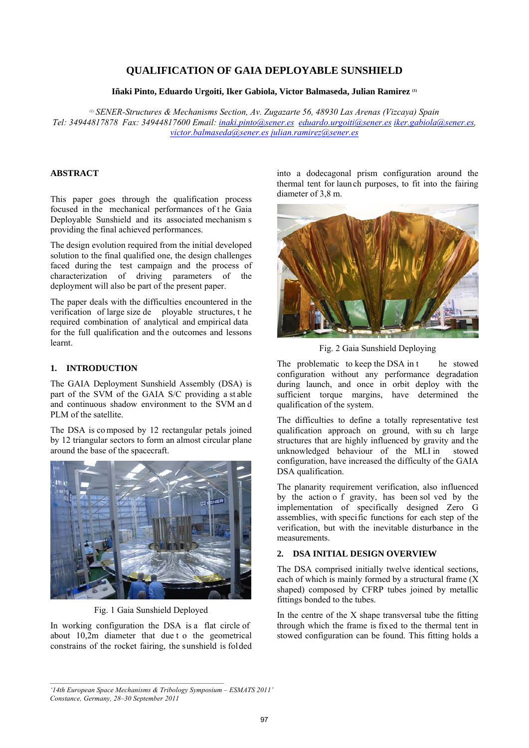# **QUALIFICATION OF GAIA DEPLOYABLE SUNSHIELD**

**Iñaki Pinto, Eduardo Urgoiti, Iker Gabiola, Victor Balmaseda, Julian Ramirez (1)**

*(1) SENER-Structures & Mechanisms Section, Av. Zugazarte 56, 48930 Las Arenas (Vizcaya) Spain Tel: 34944817878 Fax: 34944817600 Email: inaki.pinto@sener.es eduardo.urgoiti@sener.es iker.gabiola@sener.es, victor.balmaseda@sener.es julian.ramirez@sener.es* 

## **ABSTRACT**

This paper goes through the qualification process focused in the mechanical performances of t he Gaia Deployable Sunshield and its associated mechanism s providing the final achieved performances.

The design evolution required from the initial developed solution to the final qualified one, the design challenges faced during the test campaign and the process of characterization of driving parameters of the deployment will also be part of the present paper.

The paper deals with the difficulties encountered in the verification of large size de ployable structures, t he required combination of analytical and empirical data for the full qualification and the outcomes and lessons learnt.

# **1. INTRODUCTION**

The GAIA Deployment Sunshield Assembly (DSA) is part of the SVM of the GAIA S/C providing a st able and continuous shadow environment to the SVM an d PLM of the satellite.

The DSA is co mposed by 12 rectangular petals joined by 12 triangular sectors to form an almost circular plane around the base of the spacecraft.



Fig. 1 Gaia Sunshield Deployed

In working configuration the DSA is a flat circle of about 10,2m diameter that due t o the geometrical constrains of the rocket fairing, the sunshield is folded into a dodecagonal prism configuration around the thermal tent for laun ch purposes, to fit into the fairing diameter of 3,8 m.



Fig. 2 Gaia Sunshield Deploying

The problematic to keep the DSA in t he stowed configuration without any performance degradation during launch, and once in orbit deploy with the sufficient torque margins, have determined the qualification of the system.

The difficulties to define a totally representative test qualification approach on ground, with su ch large structures that are highly influenced by gravity and the unknowledged behaviour of the MLI in stowed configuration, have increased the difficulty of the GAIA DSA qualification.

The planarity requirement verification, also influenced by the action o f gravity, has been sol ved by the implementation of specifically designed Zero G assemblies, with specific functions for each step of the verification, but with the inevitable disturbance in the measurements.

# **2. DSA INITIAL DESIGN OVERVIEW**

The DSA comprised initially twelve identical sections, each of which is mainly formed by a structural frame  $(X)$ shaped) composed by CFRP tubes joined by metallic fittings bonded to the tubes.

In the centre of the X shape transversal tube the fitting through which the frame is fixed to the thermal tent in stowed configuration can be found. This fitting holds a

*<sup>&#</sup>x27;14th European Space Mechanisms & Tribology Symposium – ESMATS 2011' Constance, Germany, 28–30 September 2011*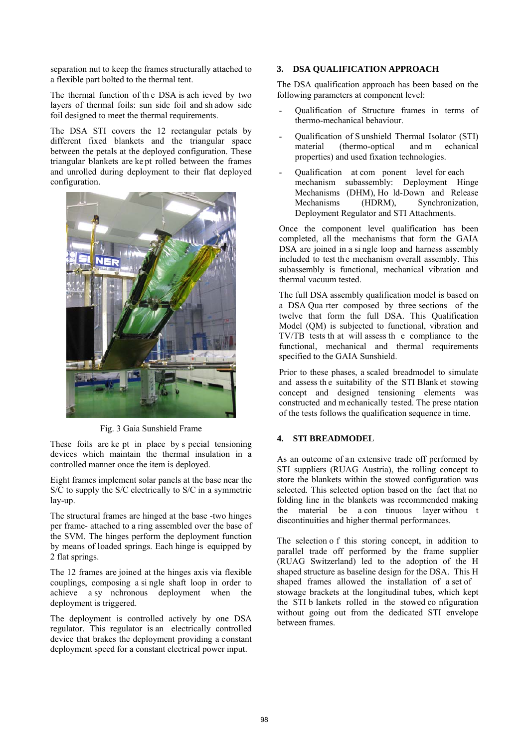separation nut to keep the frames structurally attached to a flexible part bolted to the thermal tent.

The thermal function of th e DSA is ach ieved by two layers of thermal foils: sun side foil and sh adow side foil designed to meet the thermal requirements.

The DSA STI covers the 12 rectangular petals by different fixed blankets and the triangular space between the petals at the deployed configuration. These triangular blankets are ke pt rolled between the frames and unrolled during deployment to their flat deployed configuration.



Fig. 3 Gaia Sunshield Frame

These foils are ke pt in place by s pecial tensioning devices which maintain the thermal insulation in a controlled manner once the item is deployed.

Eight frames implement solar panels at the base near the S/C to supply the S/C electrically to S/C in a symmetric lay-up.

The structural frames are hinged at the base -two hinges per frame- attached to a ring assembled over the base of the SVM. The hinges perform the deployment function by means of loaded springs. Each hinge is equipped by 2 flat springs.

The 12 frames are joined at the hinges axis via flexible couplings, composing a si ngle shaft loop in order to achieve a sy nchronous deployment when the deployment is triggered.

The deployment is controlled actively by one DSA regulator. This regulator is an electrically controlled device that brakes the deployment providing a constant deployment speed for a constant electrical power input.

## **3. DSA QUALIFICATION APPROACH**

The DSA qualification approach has been based on the following parameters at component level:

- Qualification of Structure frames in terms of thermo-mechanical behaviour.
- Qualification of S unshield Thermal Isolator (STI) material (thermo-optical and m echanical properties) and used fixation technologies.
- Qualification at com ponent level for each mechanism subassembly: Deployment Hinge Mechanisms (DHM), Ho ld-Down and Release Mechanisms (HDRM), Synchronization, Deployment Regulator and STI Attachments.

Once the component level qualification has been completed, all the mechanisms that form the GAIA DSA are joined in a si ngle loop and harness assembly included to test the mechanism overall assembly. This subassembly is functional, mechanical vibration and thermal vacuum tested.

The full DSA assembly qualification model is based on a DSA Qua rter composed by three sections of the twelve that form the full DSA. This Qualification Model (QM) is subjected to functional, vibration and TV/TB tests th at will assess th e compliance to the functional, mechanical and thermal requirements specified to the GAIA Sunshield.

Prior to these phases, a scaled breadmodel to simulate and assess th e suitability of the STI Blank et stowing concept and designed tensioning elements was constructed and m echanically tested. The prese ntation of the tests follows the qualification sequence in time.

## **4. STI BREADMODEL**

As an outcome of an extensive trade off performed by STI suppliers (RUAG Austria), the rolling concept to store the blankets within the stowed configuration was selected. This selected option based on the fact that no folding line in the blankets was recommended making the material be a con tinuous layer withou t discontinuities and higher thermal performances.

The selection o f this storing concept, in addition to parallel trade off performed by the frame supplier (RUAG Switzerland) led to the adoption of the H shaped structure as baseline design for the DSA. This H shaped frames allowed the installation of a set of stowage brackets at the longitudinal tubes, which kept the STI b lankets rolled in the stowed co nfiguration without going out from the dedicated STI envelope between frames.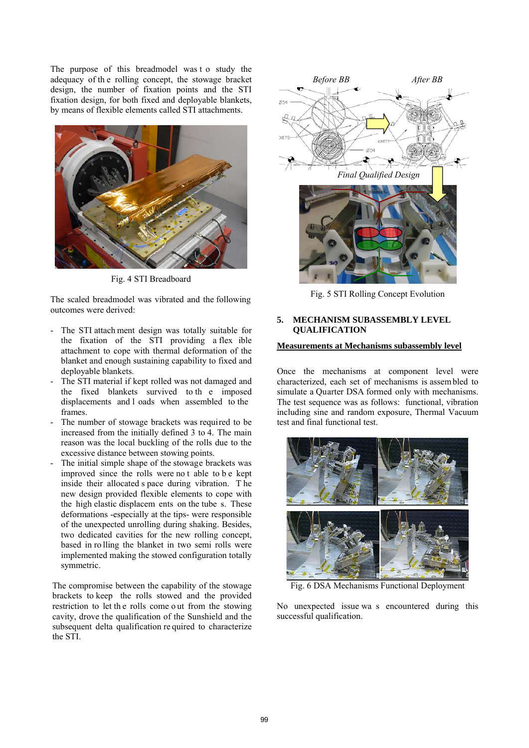The purpose of this breadmodel was t o study the adequacy of th e rolling concept, the stowage bracket design, the number of fixation points and the STI fixation design, for both fixed and deployable blankets, by means of flexible elements called STI attachments.



Fig. 4 STI Breadboard

The scaled breadmodel was vibrated and the following outcomes were derived:

- The STI attach ment design was totally suitable for the fixation of the STI providing a flex ible attachment to cope with thermal deformation of the blanket and enough sustaining capability to fixed and deployable blankets.
- The STI material if kept rolled was not damaged and the fixed blankets survived to th e imposed displacements and l oads when assembled to the frames.
- The number of stowage brackets was required to be increased from the initially defined 3 to 4. The main reason was the local buckling of the rolls due to the excessive distance between stowing points.
- The initial simple shape of the stowage brackets was improved since the rolls were no t able to b e kept inside their allocated s pace during vibration. T he new design provided flexible elements to cope with the high elastic displacem ents on the tube s. These deformations -especially at the tips- were responsible of the unexpected unrolling during shaking. Besides, two dedicated cavities for the new rolling concept, based in ro lling the blanket in two semi rolls were implemented making the stowed configuration totally symmetric.

The compromise between the capability of the stowage brackets to keep the rolls stowed and the provided restriction to let th e rolls come o ut from the stowing cavity, drove the qualification of the Sunshield and the subsequent delta qualification re quired to characterize the STI.



Fig. 5 STI Rolling Concept Evolution

#### **5. MECHANISM SUBASSEMBLY LEVEL QUALIFICATION**

## **Measurements at Mechanisms subassembly level**

Once the mechanisms at component level were characterized, each set of mechanisms is assem bled to simulate a Quarter DSA formed only with mechanisms. The test sequence was as follows: functional, vibration including sine and random exposure, Thermal Vacuum test and final functional test.



Fig. 6 DSA Mechanisms Functional Deployment

No unexpected issue wa s encountered during this successful qualification.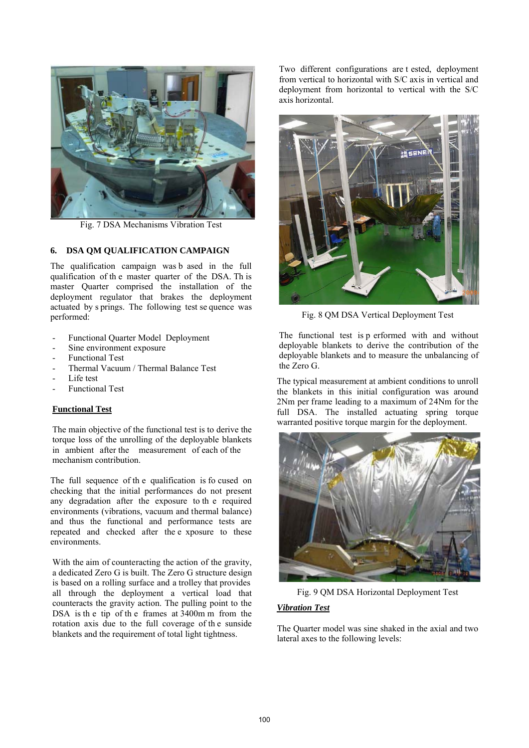

Fig. 7 DSA Mechanisms Vibration Test

## **6. DSA QM QUALIFICATION CAMPAIGN**

The qualification campaign was b ased in the full qualification of th e master quarter of the DSA. Th is master Quarter comprised the installation of the deployment regulator that brakes the deployment actuated by s prings. The following test se quence was performed:

- Functional Quarter Model Deployment
- Sine environment exposure
- Functional Test
- Thermal Vacuum / Thermal Balance Test
- Life test
- Functional Test

## **Functional Test**

The main objective of the functional test is to derive the torque loss of the unrolling of the deployable blankets in ambient after the measurement of each of the mechanism contribution.

The full sequence of th e qualification is fo cused on checking that the initial performances do not present any degradation after the exposure to th e required environments (vibrations, vacuum and thermal balance) and thus the functional and performance tests are repeated and checked after the e xposure to these environments.

With the aim of counteracting the action of the gravity, a dedicated Zero G is built. The Zero G structure design is based on a rolling surface and a trolley that provides all through the deployment a vertical load that counteracts the gravity action. The pulling point to the DSA is th e tip of th e frames at 3400m m from the rotation axis due to the full coverage of th e sunside blankets and the requirement of total light tightness.

Two different configurations are t ested, deployment from vertical to horizontal with S/C axis in vertical and deployment from horizontal to vertical with the S/C axis horizontal.



Fig. 8 QM DSA Vertical Deployment Test

The functional test is p erformed with and without deployable blankets to derive the contribution of the deployable blankets and to measure the unbalancing of the Zero G.

The typical measurement at ambient conditions to unroll the blankets in this initial configuration was around 2Nm per frame leading to a maximum of 24Nm for the full DSA. The installed actuating spring torque warranted positive torque margin for the deployment.



Fig. 9 QM DSA Horizontal Deployment Test

## *Vibration Test*

The Quarter model was sine shaked in the axial and two lateral axes to the following levels: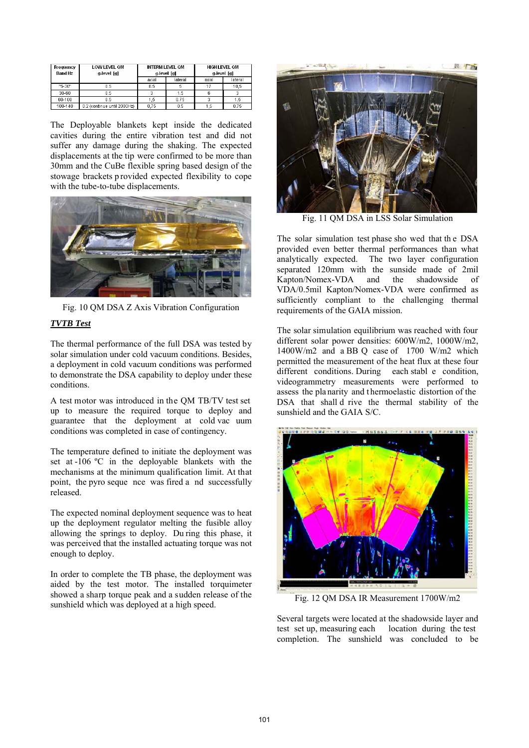| Frequency<br><b>Band Hz</b> | <b>LOW LEVEL OM</b><br>g-level [g] | <b>INTERM LEVEL OM</b><br>g-level [g] |         | <b>HIGH LEVEL OM</b><br>g-level [g] |         |
|-----------------------------|------------------------------------|---------------------------------------|---------|-------------------------------------|---------|
|                             |                                    | axial                                 | lateral | axial                               | lateral |
| "5-30"                      | 0.5                                | 8.5                                   |         |                                     | 10.5    |
| 30-60                       | 0.5                                |                                       | 1.5     |                                     |         |
| 60-100                      | 0.5                                | ۱.5                                   | 0.75    |                                     | 1.5     |
| 100-140                     | 0.2 (continue until 2000Hz)        | 0.75                                  | 0.5     |                                     | 0.75    |

The Deployable blankets kept inside the dedicated cavities during the entire vibration test and did not suffer any damage during the shaking. The expected displacements at the tip were confirmed to be more than 30mm and the CuBe flexible spring based design of the stowage brackets p rovided expected flexibility to cope with the tube-to-tube displacements.



Fig. 10 QM DSA Z Axis Vibration Configuration

# *TVTB Test*

The thermal performance of the full DSA was tested by solar simulation under cold vacuum conditions. Besides, a deployment in cold vacuum conditions was performed to demonstrate the DSA capability to deploy under these conditions.

A test motor was introduced in the QM TB/TV test set up to measure the required torque to deploy and guarantee that the deployment at cold vac uum conditions was completed in case of contingency.

The temperature defined to initiate the deployment was set at -106 ºC in the deployable blankets with the mechanisms at the minimum qualification limit. At that point, the pyro seque nce was fired a nd successfully released.

The expected nominal deployment sequence was to heat up the deployment regulator melting the fusible alloy allowing the springs to deploy. Du ring this phase, it was perceived that the installed actuating torque was not enough to deploy.

In order to complete the TB phase, the deployment was aided by the test motor. The installed torquimeter showed a sharp torque peak and a sudden release of the sunshield which was deployed at a high speed.



Fig. 11 QM DSA in LSS Solar Simulation

The solar simulation test phase sho wed that the DSA provided even better thermal performances than what analytically expected. The two layer configuration separated 120mm with the sunside made of 2mil Kapton/Nomex-VDA and the shadowside of VDA/0.5mil Kapton/Nomex-VDA were confirmed as sufficiently compliant to the challenging thermal requirements of the GAIA mission.

The solar simulation equilibrium was reached with four different solar power densities: 600W/m2, 1000W/m2, 1400W/m2 and a BB Q case of 1700 W/m2 which permitted the measurement of the heat flux at these four different conditions. During each stabl e condition, videogrammetry measurements were performed to assess the pla narity and t hermoelastic distortion of the DSA that shall d rive the thermal stability of the sunshield and the GAIA S/C.



Fig. 12 QM DSA IR Measurement 1700W/m2

Several targets were located at the shadowside layer and test set up, measuring each location during the test completion. The sunshield was concluded to be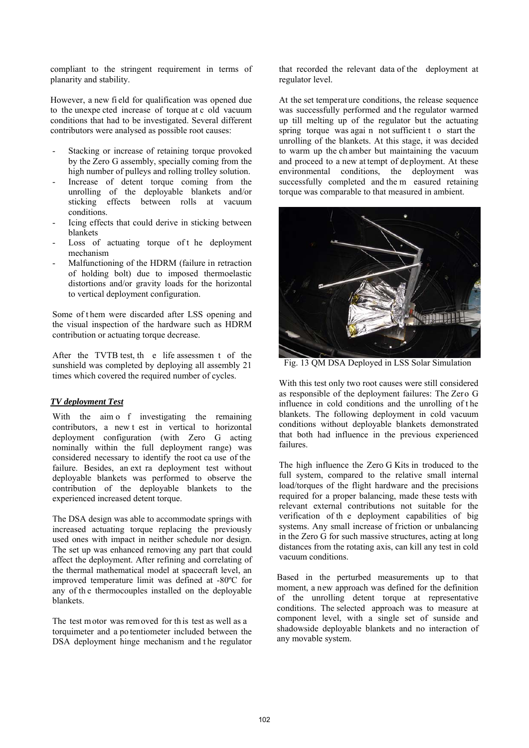compliant to the stringent requirement in terms of planarity and stability.

However, a new fi eld for qualification was opened due to the unexpe cted increase of torque at c old vacuum conditions that had to be investigated. Several different contributors were analysed as possible root causes:

- Stacking or increase of retaining torque provoked by the Zero G assembly, specially coming from the high number of pulleys and rolling trolley solution.
- Increase of detent torque coming from the unrolling of the deployable blankets and/or sticking effects between rolls at vacuum conditions.
- Icing effects that could derive in sticking between blankets
- Loss of actuating torque of the deployment mechanism
- Malfunctioning of the HDRM (failure in retraction of holding bolt) due to imposed thermoelastic distortions and/or gravity loads for the horizontal to vertical deployment configuration.

Some of t hem were discarded after LSS opening and the visual inspection of the hardware such as HDRM contribution or actuating torque decrease.

After the TVTB test, th e life assessmen t of the sunshield was completed by deploying all assembly 21 times which covered the required number of cycles.

## *TV deployment Test*

With the aim o f investigating the remaining contributors, a new t est in vertical to horizontal deployment configuration (with Zero G acting nominally within the full deployment range) was considered necessary to identify the root ca use of the failure. Besides, an ext ra deployment test without deployable blankets was performed to observe the contribution of the deployable blankets to the experienced increased detent torque.

The DSA design was able to accommodate springs with increased actuating torque replacing the previously used ones with impact in neither schedule nor design. The set up was enhanced removing any part that could affect the deployment. After refining and correlating of the thermal mathematical model at spacecraft level, an improved temperature limit was defined at -80ºC for any of th e thermocouples installed on the deployable blankets.

The test motor was removed for th is test as well as a torquimeter and a po tentiometer included between the DSA deployment hinge mechanism and the regulator that recorded the relevant data of the deployment at regulator level.

At the set temperat ure conditions, the release sequence was successfully performed and the regulator warmed up till melting up of the regulator but the actuating spring torque was agai n not sufficient t o start the unrolling of the blankets. At this stage, it was decided to warm up the ch amber but maintaining the vacuum and proceed to a new at tempt of deployment. At these environmental conditions, the deployment was successfully completed and the m easured retaining torque was comparable to that measured in ambient.



Fig. 13 QM DSA Deployed in LSS Solar Simulation

With this test only two root causes were still considered as responsible of the deployment failures: The Zero G influence in cold conditions and the unrolling of t he blankets. The following deployment in cold vacuum conditions without deployable blankets demonstrated that both had influence in the previous experienced failures.

The high influence the Zero G Kits in troduced to the full system, compared to the relative small internal load/torques of the flight hardware and the precisions required for a proper balancing, made these tests with relevant external contributions not suitable for the verification of th e deployment capabilities of big systems. Any small increase of friction or unbalancing in the Zero G for such massive structures, acting at long distances from the rotating axis, can kill any test in cold vacuum conditions.

Based in the perturbed measurements up to that moment, a new approach was defined for the definition of the unrolling detent torque at representative conditions. The selected approach was to measure at component level, with a single set of sunside and shadowside deployable blankets and no interaction of any movable system.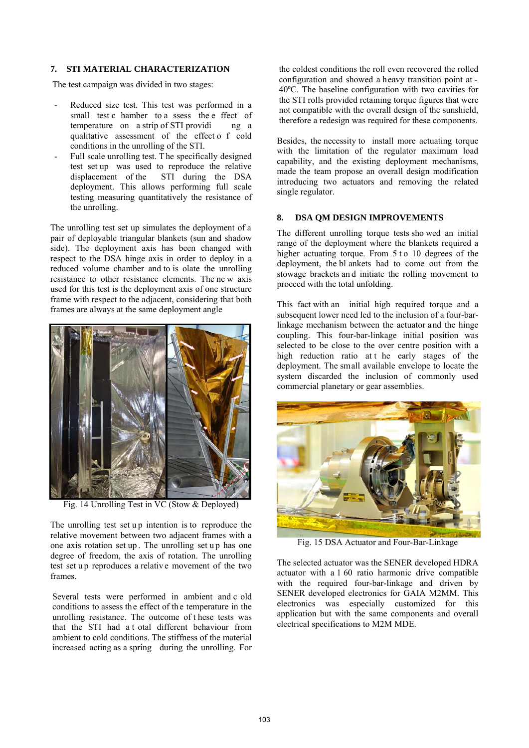#### **7. STI MATERIAL CHARACTERIZATION**

The test campaign was divided in two stages:

- Reduced size test. This test was performed in a small test c hamber to a ssess the e ffect of temperature on a strip of STI providi ng a qualitative assessment of the effect o f cold conditions in the unrolling of the STI.
- Full scale unrolling test. The specifically designed test set up was used to reproduce the relative displacement of the STI during the DSA deployment. This allows performing full scale testing measuring quantitatively the resistance of the unrolling.

The unrolling test set up simulates the deployment of a pair of deployable triangular blankets (sun and shadow side). The deployment axis has been changed with respect to the DSA hinge axis in order to deploy in a reduced volume chamber and to is olate the unrolling resistance to other resistance elements. The ne w axis used for this test is the deployment axis of one structure frame with respect to the adjacent, considering that both frames are always at the same deployment angle



Fig. 14 Unrolling Test in VC (Stow & Deployed)

The unrolling test set up intention is to reproduce the relative movement between two adjacent frames with a one axis rotation set up . The unrolling set u p has one degree of freedom, the axis of rotation. The unrolling test set up reproduces a relative movement of the two frames.

Several tests were performed in ambient and c old conditions to assess the effect of the temperature in the unrolling resistance. The outcome of t hese tests was that the STI had a t otal different behaviour from ambient to cold conditions. The stiffness of the material increased acting as a spring during the unrolling. For the coldest conditions the roll even recovered the rolled configuration and showed a heavy transition point at - 40ºC. The baseline configuration with two cavities for the STI rolls provided retaining torque figures that were not compatible with the overall design of the sunshield, therefore a redesign was required for these components.

Besides, the necessity to install more actuating torque with the limitation of the regulator maximum load capability, and the existing deployment mechanisms, made the team propose an overall design modification introducing two actuators and removing the related single regulator.

## **8. DSA QM DESIGN IMPROVEMENTS**

The different unrolling torque tests sho wed an initial range of the deployment where the blankets required a higher actuating torque. From 5 t o 10 degrees of the deployment, the bl ankets had to come out from the stowage brackets an d initiate the rolling movement to proceed with the total unfolding.

This fact with an initial high required torque and a subsequent lower need led to the inclusion of a four-barlinkage mechanism between the actuator and the hinge coupling. This four-bar-linkage initial position was selected to be close to the over centre position with a high reduction ratio at t he early stages of the deployment. The small available envelope to locate the system discarded the inclusion of commonly used commercial planetary or gear assemblies.



Fig. 15 DSA Actuator and Four-Bar-Linkage

The selected actuator was the SENER developed HDRA actuator with a 1 60 ratio harmonic drive compatible with the required four-bar-linkage and driven by SENER developed electronics for GAIA M2MM. This electronics was especially customized for this application but with the same components and overall electrical specifications to M2M MDE.